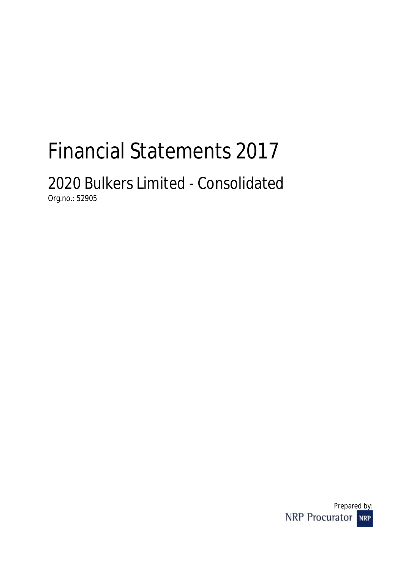# Financial Statements 2017

## 2020 Bulkers Limited - Consolidated Org.no.: 52905

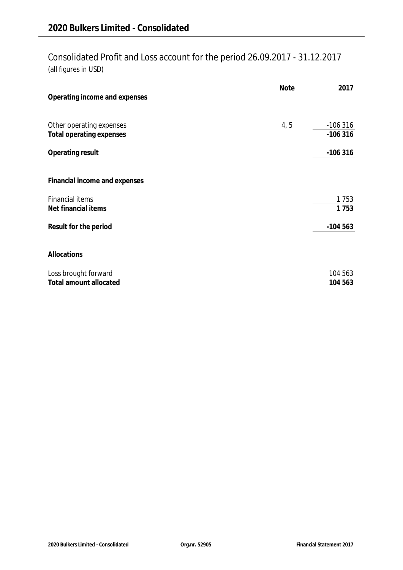## Consolidated Profit and Loss account for the period 26.09.2017 - 31.12.2017 (all figures in USD)

| Operating income and expenses                        | <b>Note</b> | 2017                   |
|------------------------------------------------------|-------------|------------------------|
| Other operating expenses<br>Total operating expenses | 4, 5        | $-106316$<br>$-106316$ |
| Operating result                                     |             | $-106316$              |
| Financial income and expenses                        |             |                        |
| <b>Financial items</b><br>Net financial items        |             | 1753<br>1753           |
| Result for the period                                |             | $-104563$              |
| Allocations                                          |             |                        |
| Loss brought forward<br>Total amount allocated       |             | 104 563<br>104 563     |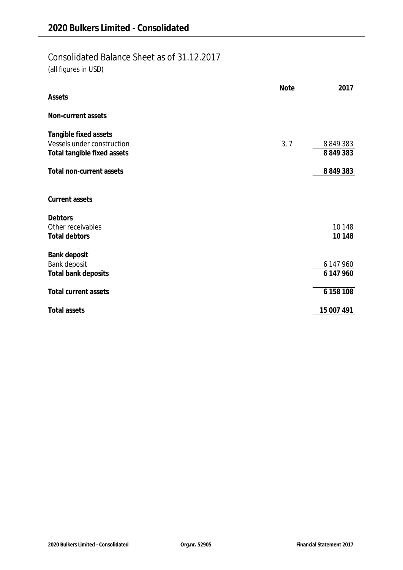## Consolidated Balance Sheet as of 31.12.2017

(all figures in USD)

| Assets                      | <b>Note</b> | 2017       |
|-----------------------------|-------------|------------|
|                             |             |            |
| Non-current assets          |             |            |
| Tangible fixed assets       |             |            |
| Vessels under construction  | 3, 7        | 8849383    |
| Total tangible fixed assets |             | 8849383    |
| Total non-current assets    |             | 8849383    |
| Current assets              |             |            |
| Debtors                     |             |            |
| Other receivables           |             | 10148      |
| <b>Total debtors</b>        |             | 10148      |
| Bank deposit                |             |            |
| Bank deposit                |             | 6 147 960  |
| Total bank deposits         |             | 6 147 960  |
| <b>Total current assets</b> |             | 6 158 108  |
| Total assets                |             | 15 007 491 |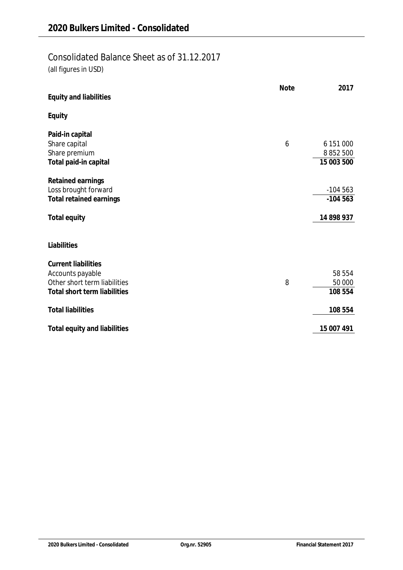### Consolidated Balance Sheet as of 31.12.2017

(all figures in USD)

| Equity and liabilities                                                                                         | <b>Note</b> | 2017                                     |
|----------------------------------------------------------------------------------------------------------------|-------------|------------------------------------------|
| Equity                                                                                                         |             |                                          |
| Paid-in capital<br>Share capital<br>Share premium<br>Total paid-in capital                                     | 6           | 6 151 000<br>8 8 5 2 5 0 0<br>15 003 500 |
| Retained earnings<br>Loss brought forward<br>Total retained earnings                                           |             | $-104563$<br>$-104563$                   |
| Total equity                                                                                                   |             | 14 898 937                               |
| Liabilities                                                                                                    |             |                                          |
| <b>Current liabilities</b><br>Accounts payable<br>Other short term liabilities<br>Total short term liabilities | 8           | 58 554<br>50 000<br>108 554              |
| <b>Total liabilities</b>                                                                                       |             | 108 554                                  |
| Total equity and liabilities                                                                                   |             | 15 007 491                               |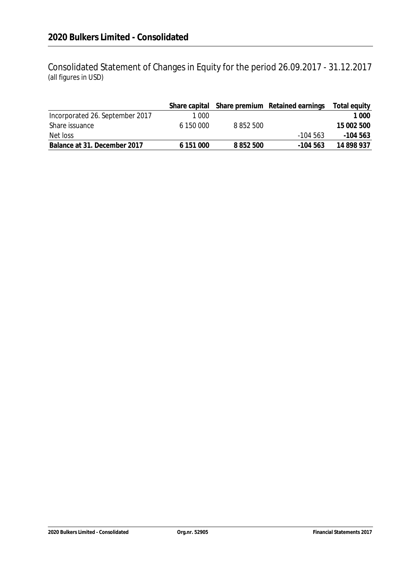Consolidated Statement of Changes in Equity for the period 26.09.2017 - 31.12.2017 (all figures in USD)

|                                 |           |           | Share capital Share premium Retained earnings | Total equity |
|---------------------------------|-----------|-----------|-----------------------------------------------|--------------|
| Incorporated 26. September 2017 | 1 000     |           |                                               | 1 000        |
| Share issuance                  | 6 150 000 | 8 852 500 |                                               | 15 002 500   |
| Net loss                        |           |           | $-104.563$                                    | -104 563     |
| Balance at 31. December 2017    | 6 151 000 | 8 852 500 | -104 563                                      | 14 898 937   |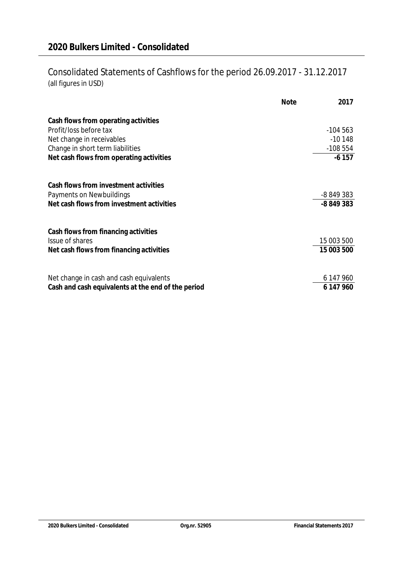## Consolidated Statements of Cashflows for the period 26.09.2017 - 31.12.2017 (all figures in USD)

|                                                    | <b>Note</b> | 2017       |
|----------------------------------------------------|-------------|------------|
| Cash flows from operating activities               |             |            |
| Profit/loss before tax                             |             | $-104563$  |
| Net change in receivables                          |             | $-10148$   |
| Change in short term liabilities                   |             | $-108554$  |
| Net cash flows from operating activities           |             | $-6157$    |
| Cash flows from investment activities              |             |            |
| Payments on Newbuildings                           |             | -8 849 383 |
| Net cash flows from investment activities          |             | -8 849 383 |
| Cash flows from financing activities               |             |            |
| Issue of shares                                    |             | 15 003 500 |
| Net cash flows from financing activities           |             | 15 003 500 |
| Net change in cash and cash equivalents            |             | 6 147 960  |
| Cash and cash equivalents at the end of the period |             | 6 147 960  |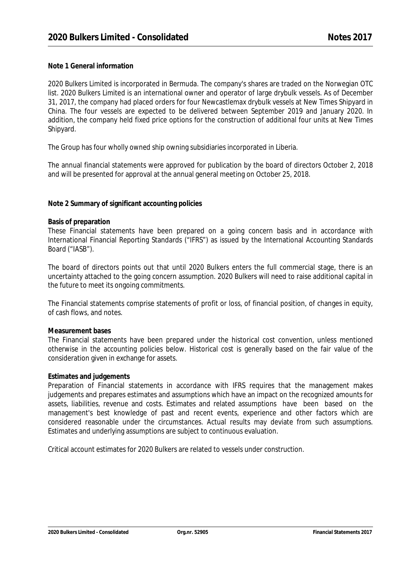#### **Note 1 General information**

2020 Bulkers Limited is incorporated in Bermuda. The company's shares are traded on the Norwegian OTC list. 2020 Bulkers Limited is an international owner and operator of large drybulk vessels. As of December 31, 2017, the company had placed orders for four Newcastlemax drybulk vessels at New Times Shipyard in China. The four vessels are expected to be delivered between September 2019 and January 2020. In addition, the company held fixed price options for the construction of additional four units at New Times Shipyard.

The Group has four wholly owned ship owning subsidiaries incorporated in Liberia.

The annual financial statements were approved for publication by the board of directors October 2, 2018 and will be presented for approval at the annual general meeting on October 25, 2018.

**Note 2 Summary of significant accounting policies**

#### **Basis of preparation**

These Financial statements have been prepared on a going concern basis and in accordance with International Financial Reporting Standards ("IFRS") as issued by the International Accounting Standards Board ("IASB").

The board of directors points out that until 2020 Bulkers enters the full commercial stage, there is an uncertainty attached to the going concern assumption. 2020 Bulkers will need to raise additional capital in the future to meet its ongoing commitments.

The Financial statements comprise statements of profit or loss, of financial position, of changes in equity, of cash flows, and notes.

#### **Measurement bases**

The Financial statements have been prepared under the historical cost convention, unless mentioned otherwise in the accounting policies below. Historical cost is generally based on the fair value of the consideration given in exchange for assets.

#### **Estimates and judgements**

Preparation of Financial statements in accordance with IFRS requires that the management makes judgements and prepares estimates and assumptions which have an impact on the recognized amounts for assets, liabilities, revenue and costs. Estimates and related assumptions have been based on the management's best knowledge of past and recent events, experience and other factors which are considered reasonable under the circumstances. Actual results may deviate from such assumptions. Estimates and underlying assumptions are subject to continuous evaluation.

Critical account estimates for 2020 Bulkers are related to vessels under construction.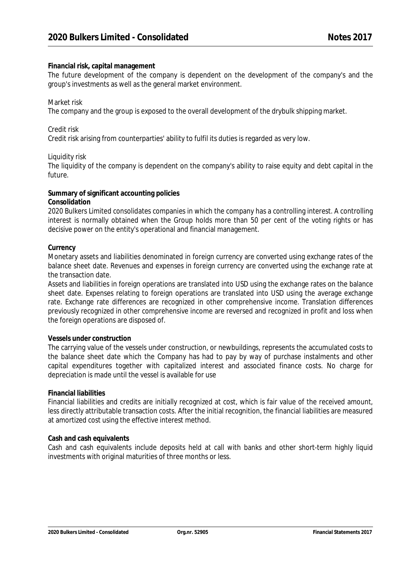#### **Financial risk, capital management**

The future development of the company is dependent on the development of the company's and the group's investments as well as the general market environment.

#### Market risk

The company and the group is exposed to the overall development of the drybulk shipping market.

#### Credit risk

Credit risk arising from counterparties' ability to fulfil its duties is regarded as very low.

#### Liquidity risk

The liquidity of the company is dependent on the company's ability to raise equity and debt capital in the future.

#### **Summary of significant accounting policies**

#### **Consolidation**

2020 Bulkers Limited consolidates companies in which the company has a controlling interest. A controlling interest is normally obtained when the Group holds more than 50 per cent of the voting rights or has decisive power on the entity's operational and financial management.

#### **Currency**

Monetary assets and liabilities denominated in foreign currency are converted using exchange rates of the balance sheet date. Revenues and expenses in foreign currency are converted using the exchange rate at the transaction date.

Assets and liabilities in foreign operations are translated into USD using the exchange rates on the balance sheet date. Expenses relating to foreign operations are translated into USD using the average exchange rate. Exchange rate differences are recognized in other comprehensive income. Translation differences previously recognized in other comprehensive income are reversed and recognized in profit and loss when the foreign operations are disposed of.

#### **Vessels under construction**

The carrying value of the vessels under construction, or newbuildings, represents the accumulated costs to the balance sheet date which the Company has had to pay by way of purchase instalments and other capital expenditures together with capitalized interest and associated finance costs. No charge for depreciation is made until the vessel is available for use

#### **Financial liabilities**

Financial liabilities and credits are initially recognized at cost, which is fair value of the received amount, less directly attributable transaction costs. After the initial recognition, the financial liabilities are measured at amortized cost using the effective interest method.

#### **Cash and cash equivalents**

Cash and cash equivalents include deposits held at call with banks and other short-term highly liquid investments with original maturities of three months or less.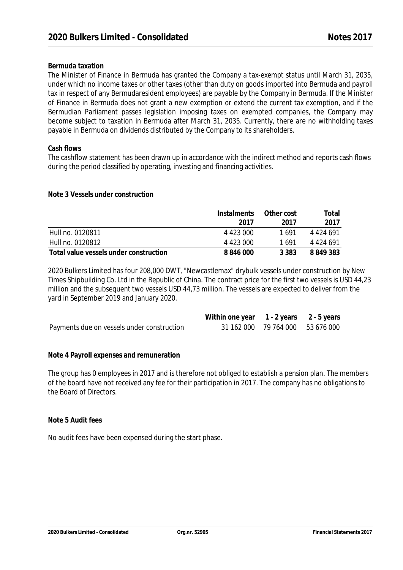#### **Bermuda taxation**

The Minister of Finance in Bermuda has granted the Company a tax-exempt status until March 31, 2035, under which no income taxes or other taxes (other than duty on goods imported into Bermuda and payroll tax in respect of any Bermudaresident employees) are payable by the Company in Bermuda. If the Minister of Finance in Bermuda does not grant a new exemption or extend the current tax exemption, and if the Bermudian Parliament passes legislation imposing taxes on exempted companies, the Company may become subject to taxation in Bermuda after March 31, 2035. Currently, there are no withholding taxes payable in Bermuda on dividends distributed by the Company to its shareholders.

#### **Cash flows**

The cashflow statement has been drawn up in accordance with the indirect method and reports cash flows during the period classified by operating, investing and financing activities.

**Note 3 Vessels under construction**

|                                        | Instalments | Other cost | Total     |
|----------------------------------------|-------------|------------|-----------|
|                                        | 2017        | 2017       | 2017      |
| Hull no. 0120811                       | 4 423 000   | 1 691      | 4 424 691 |
| Hull no. 0120812                       | 4 423 000   | 1 691      | 4 424 691 |
| Total value vessels under construction | 8 846 000   | 3 383      | 8 849 383 |

2020 Bulkers Limited has four 208,000 DWT, "Newcastlemax" drybulk vessels under construction by New Times Shipbuilding Co. Ltd in the Republic of China. The contract price for the first two vessels is USD 44,23 million and the subsequent two vessels USD 44,73 million. The vessels are expected to deliver from the yard in September 2019 and January 2020.

|                                            | Within one year 1 - 2 years 2 - 5 years |                                  |  |
|--------------------------------------------|-----------------------------------------|----------------------------------|--|
| Payments due on vessels under construction |                                         | 31 162 000 79 764 000 53 676 000 |  |

**Note 4 Payroll expenses and remuneration**

The group has 0 employees in 2017 and is therefore not obliged to establish a pension plan. The members of the board have not received any fee for their participation in 2017. The company has no obligations to the Board of Directors.

**Note 5 Audit fees**

No audit fees have been expensed during the start phase.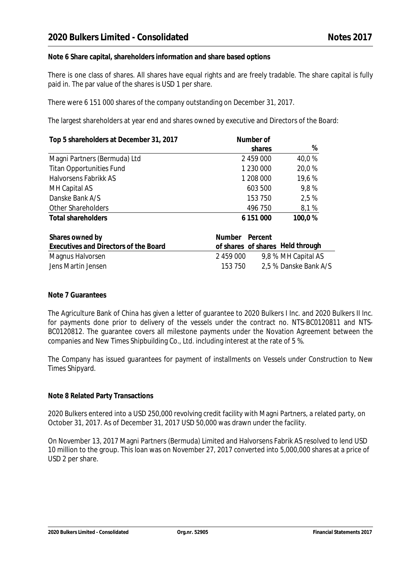**Note 6 Share capital, shareholders information and share based options**

There is one class of shares. All shares have equal rights and are freely tradable. The share capital is fully paid in. The par value of the shares is USD 1 per share.

There were 6 151 000 shares of the company outstanding on December 31, 2017.

The largest shareholders at year end and shares owned by executive and Directors of the Board:

| Top 5 shareholders at December 31, 2017 | Number of           |        |  |
|-----------------------------------------|---------------------|--------|--|
|                                         | shares              | %      |  |
| Magni Partners (Bermuda) Ltd            | 2 459 000           | 40,0%  |  |
| <b>Titan Opportunities Fund</b>         | 1 230 000           | 20,0%  |  |
| Halvorsens Fabrikk AS                   | 1 208 000           | 19,6%  |  |
| MH Capital AS                           | 603 500             | 9,8%   |  |
| Danske Bank A/S                         | 153 750             | 2.5 %  |  |
| Other Shareholders                      | 496 750             | 8,1%   |  |
| <b>Total shareholders</b>               | 6 151 000           | 100,0% |  |
| Shares owned by                         | Percent<br>Number   |        |  |
| F. I. IN' I CILD I                      | ci ci llolal+brough |        |  |

| $5.141$ $55$ $5111$ $54$ $51$         | $1.9 \times 1.11 \times 1.11$ . $1.11 \times 1.111$ |  |
|---------------------------------------|-----------------------------------------------------|--|
| Executives and Directors of the Board | of shares of shares Held through                    |  |
| Magnus Halvorsen                      | 9,8 % MH Capital AS<br>2 459 000                    |  |
| Jens Martin Jensen                    | 2,5 % Danske Bank A/S<br>153 750                    |  |

#### **Note 7 Guarantees**

The Agriculture Bank of China has given a letter of guarantee to 2020 Bulkers I Inc. and 2020 Bulkers II Inc. for payments done prior to delivery of the vessels under the contract no. NTS-BC0120811 and NTS- BC0120812. The guarantee covers all milestone payments under the Novation Agreement between the companies and New Times Shipbuilding Co., Ltd. including interest at the rate of5 %.

The Company has issued guarantees for payment of installments on Vessels under Construction to New Times Shipyard.

#### **Note 8 Related Party Transactions**

2020 Bulkers entered into a USD 250,000 revolving credit facility with Magni Partners, a related party, on October 31, 2017. As of December 31, 2017 USD 50,000 was drawn under the facility.

On November 13, 2017 Magni Partners (Bermuda) Limited and Halvorsens Fabrik AS resolved to lend USD 10 million to the group. This loan was on November 27, 2017 converted into 5,000,000 shares at a price of USD 2 per share.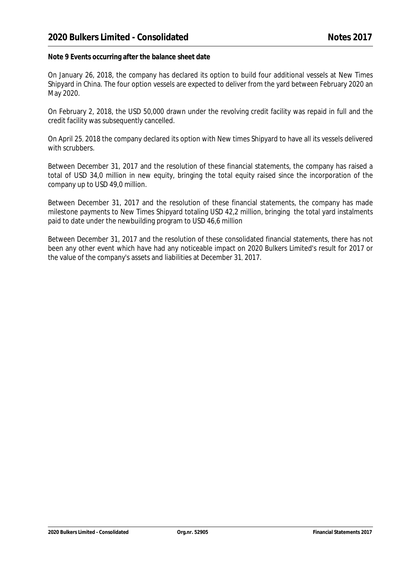**Note 9 Events occurring after the balance sheet date**

On January 26, 2018, the company has declared its option to build four additional vessels at New Times Shipyard in China. The four option vessels are expected to deliver from the yard between February 2020 an May 2020.

On February 2, 2018, the USD 50,000 drawn under the revolving credit facility was repaid in full and the credit facility was subsequently cancelled.

On April 25, 2018 the company declared its option with New times Shipyard to have all its vessels delivered with scrubbers.

Between December 31, 2017 and the resolution of these financial statements, the company has raised a total of USD 34,0 million in new equity, bringing the total equity raised since the incorporation of the company up to USD 49,0 million.

Between December 31, 2017 and the resolution of these financial statements, the company has made milestone payments to New Times Shipyard totaling USD 42,2 million, bringing the total yard instalments paid to date under the newbuilding program to USD 46,6 million

Between December 31, 2017 and the resolution of these consolidated financial statements, there has not been any other event which have had any noticeable impact on 2020 Bulkers Limited's result for 2017 or the value of the company's assets and liabilities at December 31, 2017.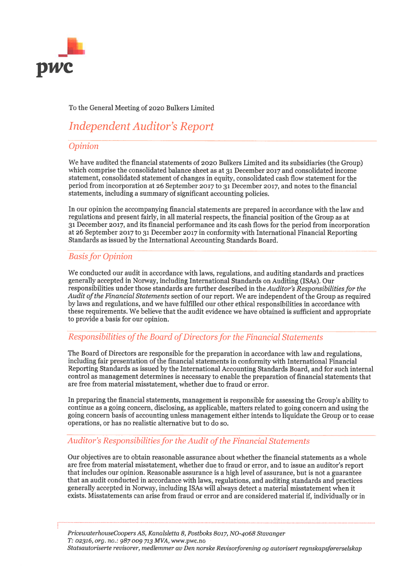

#### To the General Meeting of 2020 Bulkers Limited

## **Independent Auditor's Report**

#### Opinion

We have audited the financial statements of 2020 Bulkers Limited and its subsidiaries (the Group) which comprise the consolidated balance sheet as at 31 December 2017 and consolidated income statement, consolidated statement of changes in equity, consolidated cash flow statement for the period from incorporation at 26 September 2017 to 31 December 2017, and notes to the financial statements, including a summary of significant accounting policies.

In our opinion the accompanying financial statements are prepared in accordance with the law and regulations and present fairly, in all material respects, the financial position of the Group as at 31 December 2017, and its financial performance and its cash flows for the period from incorporation at 26 September 2017 to 31 December 2017 in conformity with International Financial Reporting Standards as issued by the International Accounting Standards Board.

#### **Basis for Opinion**

We conducted our audit in accordance with laws, regulations, and auditing standards and practices generally accepted in Norway, including International Standards on Auditing (ISAs). Our responsibilities under those standards are further described in the Auditor's Responsibilities for the Audit of the Financial Statements section of our report. We are independent of the Group as required by laws and regulations, and we have fulfilled our other ethical responsibilities in accordance with these requirements. We believe that the audit evidence we have obtained is sufficient and appropriate to provide a basis for our opinion.

#### Responsibilities of the Board of Directors for the Financial Statements

The Board of Directors are responsible for the preparation in accordance with law and regulations, including fair presentation of the financial statements in conformity with International Financial Reporting Standards as issued by the International Accounting Standards Board, and for such internal control as management determines is necessary to enable the preparation of financial statements that are free from material misstatement, whether due to fraud or error.

In preparing the financial statements, management is responsible for assessing the Group's ability to continue as a going concern, disclosing, as applicable, matters related to going concern and using the going concern basis of accounting unless management either intends to liquidate the Group or to cease operations, or has no realistic alternative but to do so.

#### Auditor's Responsibilities for the Audit of the Financial Statements

Our objectives are to obtain reasonable assurance about whether the financial statements as a whole are free from material misstatement, whether due to fraud or error, and to issue an auditor's report that includes our opinion. Reasonable assurance is a high level of assurance, but is not a guarantee that an audit conducted in accordance with laws, regulations, and auditing standards and practices generally accepted in Norway, including ISAs will always detect a material misstatement when it exists. Misstatements can arise from fraud or error and are considered material if, individually or in

PricewaterhouseCoopers AS, Kanalsletta 8, Postboks 8017, NO-4068 Stavanger T: 02316, org. no.: 987 009 713 MVA, www.pwc.no Statsautoriserte revisorer, medlemmer av Den norske Revisorforening og autorisert regnskapsførerselskap